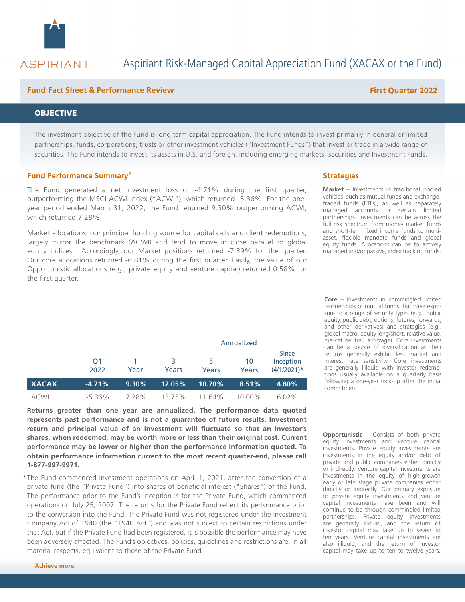

## **ASPIRIANT**

# Aspiriant Risk-Managed Capital Appreciation Fund (XACAX or the Fund)

#### **Fund Fact Sheet & Performance Review First Quarter 2022**

#### **OBJECTIVE**

The investment objective of the Fund is long term capital appreciation. The Fund intends to invest primarily in general or limited partnerships, funds, corporations, trusts or other investment vehicles ("Investment Funds") that invest or trade in a wide range of securities. The Fund intends to invest its assets in U.S. and foreign, including emerging markets, securities and Investment Funds.

#### **Fund Performance Summary<sup>1</sup>**

The Fund generated a net investment loss of -4.71% during the first quarter, outperforming the MSCI ACWI Index ("ACWI"), which returned -5.36%. For the oneyear period ended March 31, 2022, the Fund returned 9.30% outperforming ACWI, which returned 7.28%.

Market allocations, our principal funding source for capital calls and client redemptions, largely mirror the benchmark (ACWI) and tend to move in close parallel to global equity indices. Accordingly, our Market positions returned -7.39% for the quarter. Our core allocations returned -6.81% during the first quarter. Lastly, the value of our Opportunistic allocations (e.g., private equity and venture capital) returned 0.58% for the first quarter.

|              |                        |          | Annualized |            |             |                                      |
|--------------|------------------------|----------|------------|------------|-------------|--------------------------------------|
|              | O <sub>1</sub><br>2022 | Year     | З<br>Years | 5<br>Years | 10<br>Years | Since<br>Inception<br>$(4/1/2021)$ * |
| <b>XACAX</b> | $-4.71%$               | $9.30\%$ | 12.05%     | $10.70\%$  | 8.51%       | 4.80%                                |
| <b>ACWI</b>  | $-5.36\%$              | 7.28%    | 13.75%     | 11.64%     | 10.00%      | $6.02\%$                             |

**Returns greater than one year are annualized. The performance data quoted represents past performance and is not a guarantee of future results. Investment return and principal value of an investment will fluctuate so that an investor's shares, when redeemed, may be worth more or less than their original cost. Current performance may be lower or higher than the performance information quoted. To obtain performance information current to the most recent quarter-end, please call 1-877-997-9971.**

\* The Fund commenced investment operations on April 1, 2021, after the conversion of a private fund (the "Private Fund") into shares of beneficial interest ("Shares") of the Fund. The performance prior to the Fund's inception is for the Private Fund, which commenced operations on July 25, 2007. The returns for the Private Fund reflect its performance prior to the conversion into the Fund. The Private Fund was not registered under the Investment Company Act of 1940 (the "1940 Act") and was not subject to certain restrictions under that Act, but if the Private Fund had been registered, it is possible the performance may have been adversely affected. The Fund's objectives, policies, guidelines and restrictions are, in all material respects, equivalent to those of the Private Fund.

#### **Strategies**

**Market** – Investments in traditional pooled vehicles, such as mutual funds and exchangetraded funds (ETFs), as well as separately managed accounts or certain limited partnerships. Investments can be across the full risk spectrum from money market funds and short-term fixed income funds to multiasset, flexible mandate funds and global equity funds. Allocations can be to actively managed and/or passive, index tracking funds.

**Core** – Investments in commingled limited partnerships or mutual funds that have exposure to a range of security types (e.g., public equity, public debt, options, futures, forwards, and other derivatives) and strategies (e.g., global macro, equity long/short, relative value, market neutral, arbitrage). Core investments can be a source of diversification as their returns generally exhibit less market and interest rate sensitivity. Core investments are generally illiquid with investor redemptions usually available on a quarterly basis following a one-year lock-up after the initial commitment.

**Opportunistic** – Consists of both private equity investments and venture capital investments. Private equity investments are investments in the equity and/or debt of private and public companies either directly or indirectly. Venture capital investments are investments in the equity of high-growth early or late stage private companies either directly or indirectly. Our primary exposure to private equity investments and venture capital investments have been and will continue to be through commingled limited partnerships. Private equity investments are generally illiquid, and the return of investor capital may take up to seven to ten years. Venture capital investments are also illiquid, and the return of investor capital may take up to ten to twelve years.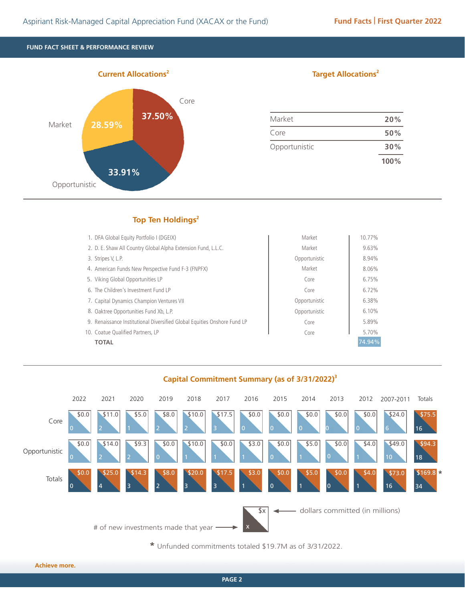**FUND FACT SHEET & PERFORMANCE REVIEW**



#### **Target Allocations<sup>2</sup>**

| Market        | 20%  |
|---------------|------|
| Core          | 50%  |
| Opportunistic | 30%  |
|               | 100% |

### **Top Ten Holdings<sup>2</sup>**

| 1. DFA Global Equity Portfolio I (DGEIX)                                 | Market        | 10.77% |
|--------------------------------------------------------------------------|---------------|--------|
| 2. D. E. Shaw All Country Global Alpha Extension Fund, L.L.C.            | Market        | 9.63%  |
| 3. Stripes V, L.P.                                                       | Opportunistic | 8.94%  |
| 4. American Funds New Perspective Fund F-3 (FNPFX)                       | Market        | 8.06%  |
| 5. Viking Global Opportunities LP                                        | Core          | 6.75%  |
| 6. The Children's Investment Fund LP                                     | Core          | 6.72%  |
| 7. Capital Dynamics Champion Ventures VII                                | Opportunistic | 6.38%  |
| 8. Oaktree Opportunities Fund Xb, L.P.                                   | Opportunistic | 6.10%  |
| 9. Renaissance Institutional Diversified Global Equities Onshore Fund LP | Core          | 5.89%  |
| 10. Coatue Qualified Partners, LP                                        | Core          | 5.70%  |
| <b>TOTAL</b>                                                             |               | 74.94% |

**Capital Commitment Summary (as of 3/31/2022)3**



**\*** Unfunded commitments totaled \$19.7M as of 3/31/2022.

**Achieve more.**